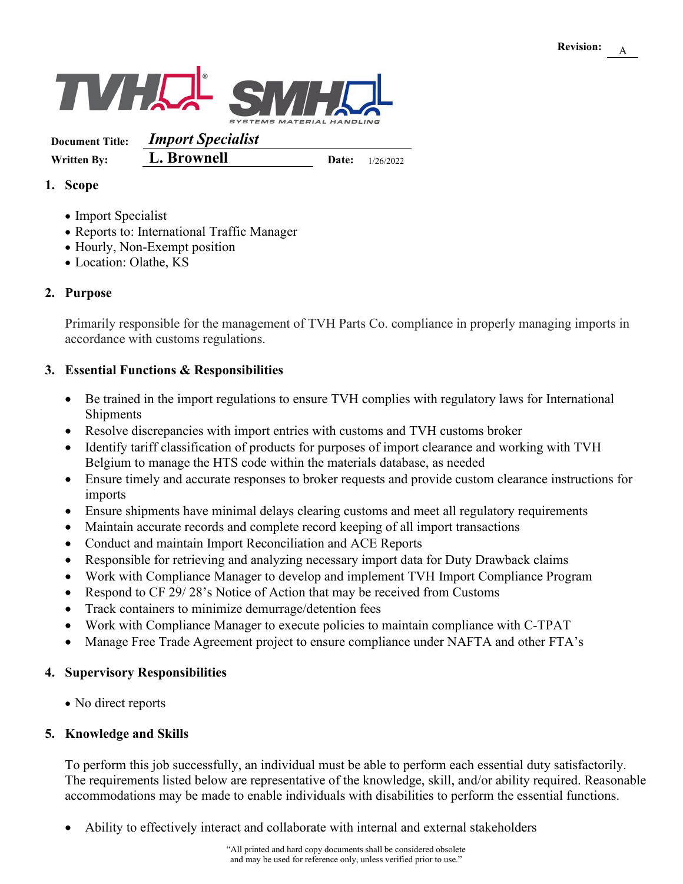

**Document Title:** *Import Specialist* **Written By: L. Brownell Date:** 1/26/2022

### **1. Scope**

- Import Specialist
- Reports to: International Traffic Manager
- Hourly, Non-Exempt position
- Location: Olathe, KS

#### **2. Purpose**

Primarily responsible for the management of TVH Parts Co. compliance in properly managing imports in accordance with customs regulations.

# **3. Essential Functions & Responsibilities**

- Be trained in the import regulations to ensure TVH complies with regulatory laws for International Shipments
- Resolve discrepancies with import entries with customs and TVH customs broker
- Identify tariff classification of products for purposes of import clearance and working with TVH Belgium to manage the HTS code within the materials database, as needed
- Ensure timely and accurate responses to broker requests and provide custom clearance instructions for imports
- Ensure shipments have minimal delays clearing customs and meet all regulatory requirements
- Maintain accurate records and complete record keeping of all import transactions
- Conduct and maintain Import Reconciliation and ACE Reports
- Responsible for retrieving and analyzing necessary import data for Duty Drawback claims
- Work with Compliance Manager to develop and implement TVH Import Compliance Program
- Respond to CF 29/28's Notice of Action that may be received from Customs
- Track containers to minimize demurrage/detention fees
- Work with Compliance Manager to execute policies to maintain compliance with C-TPAT
- Manage Free Trade Agreement project to ensure compliance under NAFTA and other FTA's

#### **4. Supervisory Responsibilities**

• No direct reports

# **5. Knowledge and Skills**

To perform this job successfully, an individual must be able to perform each essential duty satisfactorily. The requirements listed below are representative of the knowledge, skill, and/or ability required. Reasonable accommodations may be made to enable individuals with disabilities to perform the essential functions.

• Ability to effectively interact and collaborate with internal and external stakeholders